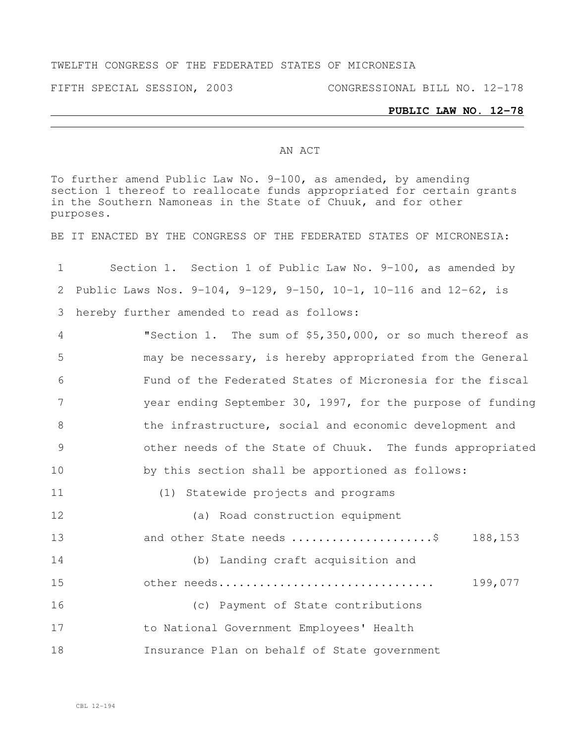### TWELFTH CONGRESS OF THE FEDERATED STATES OF MICRONESIA

# **PUBLIC LAW NO. 12-78**

### AN ACT

To further amend Public Law No. 9-100, as amended, by amending section 1 thereof to reallocate funds appropriated for certain grants in the Southern Namoneas in the State of Chuuk, and for other purposes.

BE IT ENACTED BY THE CONGRESS OF THE FEDERATED STATES OF MICRONESIA:

| $\mathbf 1$ | Section 1. Section 1 of Public Law No. 9-100, as amended by                       |
|-------------|-----------------------------------------------------------------------------------|
| 2           | Public Laws Nos. $9-104$ , $9-129$ , $9-150$ , $10-1$ , $10-116$ and $12-62$ , is |
| 3           | hereby further amended to read as follows:                                        |
| 4           | "Section 1. The sum of \$5,350,000, or so much thereof as                         |
| 5           | may be necessary, is hereby appropriated from the General                         |
| 6           | Fund of the Federated States of Micronesia for the fiscal                         |
| 7           | year ending September 30, 1997, for the purpose of funding                        |
| $8\,$       | the infrastructure, social and economic development and                           |
| 9           | other needs of the State of Chuuk. The funds appropriated                         |
| 10          | by this section shall be apportioned as follows:                                  |
| 11          | (1) Statewide projects and programs                                               |
| 12          | (a) Road construction equipment                                                   |
| 13          | and other State needs \$<br>188,153                                               |
| 14          | (b) Landing craft acquisition and                                                 |
| 15          | 199,077<br>other needs                                                            |
| 16          | (c) Payment of State contributions                                                |
| 17          | to National Government Employees' Health                                          |
| 18          | Insurance Plan on behalf of State government                                      |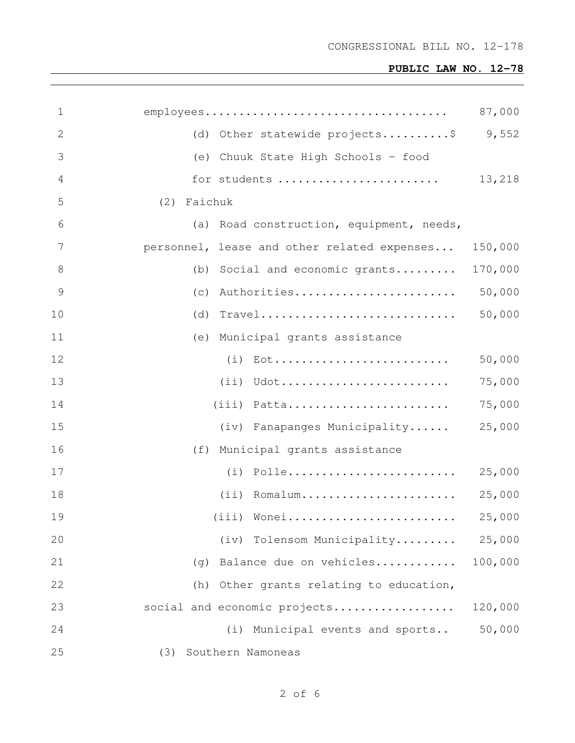| 1  |                                             | 87,000  |
|----|---------------------------------------------|---------|
| 2  | (d) Other statewide projects\$ 9,552        |         |
| 3  | (e) Chuuk State High Schools - food         |         |
| 4  | for students                                | 13,218  |
| 5  | (2) Faichuk                                 |         |
| 6  | (a) Road construction, equipment, needs,    |         |
| 7  | personnel, lease and other related expenses | 150,000 |
| 8  | (b) Social and economic grants              | 170,000 |
| 9  | (c) Authorities                             | 50,000  |
| 10 | $(d)$ Travel                                | 50,000  |
| 11 | (e) Municipal grants assistance             |         |
| 12 |                                             | 50,000  |
| 13 | $(i)$ Udot                                  | 75,000  |
| 14 | $(iii)$ Patta                               | 75,000  |
| 15 | (iv) Fanapanges Municipality                | 25,000  |
| 16 | (f) Municipal grants assistance             |         |
| 17 |                                             | 25,000  |
| 18 | $(i)$ Romalum                               | 25,000  |
| 19 | (iii) Wonei                                 | 25,000  |
| 20 | (iv) Tolensom Municipality                  | 25,000  |
| 21 | Balance due on vehicles<br>(q)              | 100,000 |
| 22 | Other grants relating to education,<br>(h)  |         |
| 23 | social and economic projects                | 120,000 |
| 24 | (i) Municipal events and sports             | 50,000  |
| 25 | Southern Namoneas<br>(3)                    |         |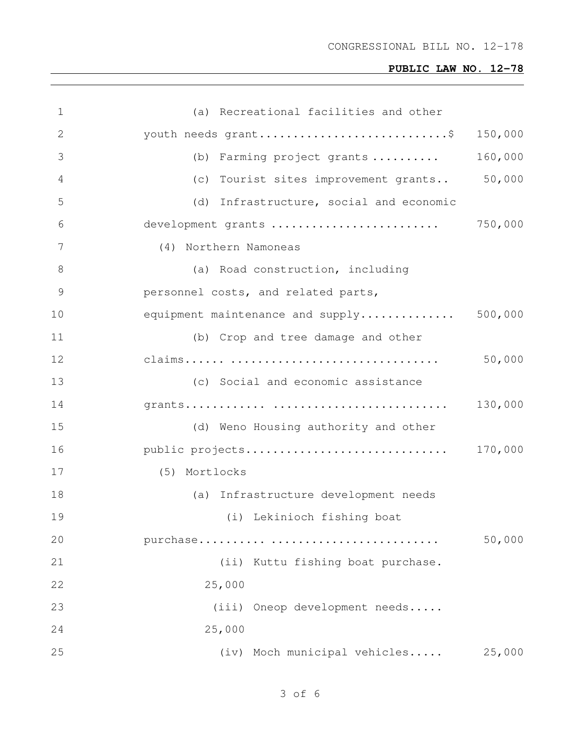| 1  | (a) Recreational facilities and other   |         |
|----|-----------------------------------------|---------|
| 2  | youth needs grant\$                     | 150,000 |
| 3  | (b) Farming project grants              | 160,000 |
| 4  | (c) Tourist sites improvement grants    | 50,000  |
| 5  | (d) Infrastructure, social and economic |         |
| 6  | development grants                      | 750,000 |
| 7  | (4) Northern Namoneas                   |         |
| 8  | (a) Road construction, including        |         |
| 9  | personnel costs, and related parts,     |         |
| 10 | equipment maintenance and supply        | 500,000 |
| 11 | (b) Crop and tree damage and other      |         |
| 12 |                                         | 50,000  |
| 13 | (c) Social and economic assistance      |         |
| 14 |                                         | 130,000 |
| 15 | (d) Weno Housing authority and other    |         |
| 16 | public projects                         | 170,000 |
| 17 | (5) Mortlocks                           |         |
| 18 | (a) Infrastructure development needs    |         |
| 19 | (i) Lekinioch fishing boat              |         |
| 20 |                                         | 50,000  |
| 21 | (ii) Kuttu fishing boat purchase.       |         |
| 22 | 25,000                                  |         |
| 23 | (iii) Oneop development needs           |         |
| 24 | 25,000                                  |         |
| 25 | (iv) Moch municipal vehicles            | 25,000  |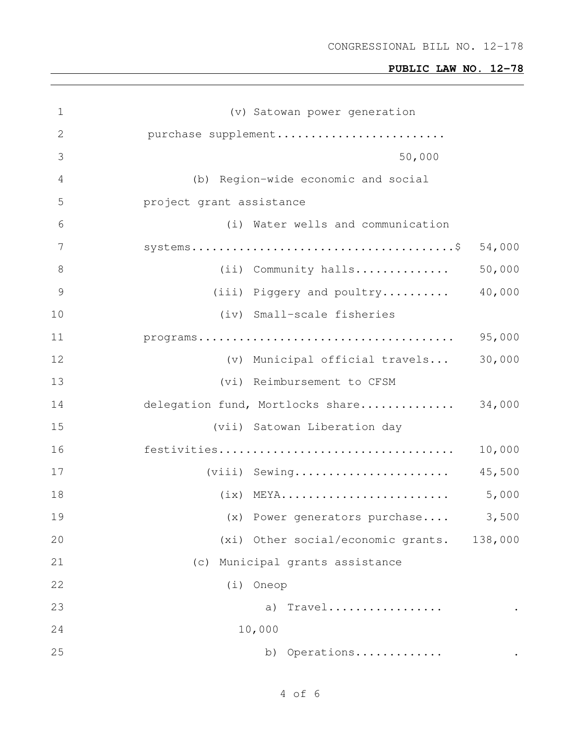CONGRESSIONAL BILL NO. 12-178

| $\mathbf 1$    | (v) Satowan power generation                                                                            |        |
|----------------|---------------------------------------------------------------------------------------------------------|--------|
| $\mathbf{2}$   | purchase supplement                                                                                     |        |
| 3              | 50,000                                                                                                  |        |
| $\overline{4}$ | (b) Region-wide economic and social                                                                     |        |
| 5              | project grant assistance                                                                                |        |
| 6              | (i) Water wells and communication                                                                       |        |
| 7              |                                                                                                         | 54,000 |
| $8\,$          | (ii) Community halls                                                                                    | 50,000 |
| $\overline{9}$ | (iii) Piggery and poultry                                                                               | 40,000 |
| 10             | (iv) Small-scale fisheries                                                                              |        |
| 11             | $\texttt{programs} \dots \dots \dots \dots \dots \dots \dots \dots \dots \dots \dots \dots \dots \dots$ | 95,000 |
| 12             | (v) Municipal official travels                                                                          | 30,000 |
| 13             | (vi) Reimbursement to CFSM                                                                              |        |
| 14             | delegation fund, Mortlocks share                                                                        | 34,000 |
| 15             | (vii) Satowan Liberation day                                                                            |        |
| 16             |                                                                                                         | 10,000 |
| 17             | (viii) Sewing                                                                                           | 45,500 |
| 18             | $(ix)$ MEYA                                                                                             | 5,000  |
| 19             | (x) Power generators purchase                                                                           | 3,500  |
| 20             | (xi) Other social/economic grants. 138,000                                                              |        |
| 21             | Municipal grants assistance<br>(c)                                                                      |        |
| 22             | (i)<br>Oneop                                                                                            |        |
| 23             | Travel<br>a)                                                                                            |        |
| 24             | 10,000                                                                                                  |        |
| 25             | Operations<br>b)                                                                                        |        |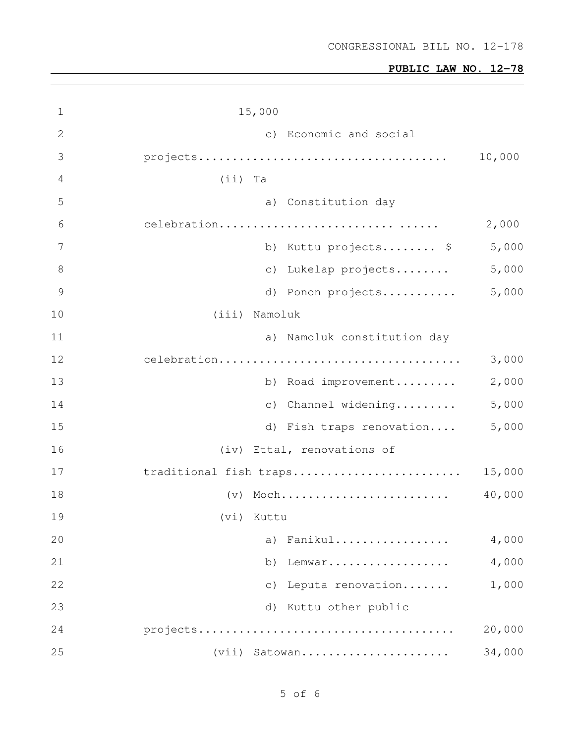| 1             | 15,000                         |        |
|---------------|--------------------------------|--------|
| 2             | c) Economic and social         |        |
| 3             |                                | 10,000 |
| 4             | $(i)$ Ta                       |        |
| 5             | a) Constitution day            |        |
| 6             | celebration                    | 2,000  |
| 7             | Kuttu projects \$<br>b)        | 5,000  |
| 8             | Lukelap projects<br>$\circ$ )  | 5,000  |
| $\mathcal{G}$ | d) Ponon projects              | 5,000  |
| 10            | (iii) Namoluk                  |        |
| 11            | a) Namoluk constitution day    |        |
| 12            | celebration                    | 3,000  |
| 13            | Road improvement<br>b)         | 2,000  |
| 14            | Channel widening<br>$\circ$ )  | 5,000  |
| 15            | d) Fish traps renovation       | 5,000  |
| 16            | (iv) Ettal, renovations of     |        |
| 17            | traditional fish traps         | 15,000 |
| 18            | $(v)$ Moch                     | 40,000 |
| 19            | (vi) Kuttu                     |        |
| 20            | Fanikul<br>a)                  | 4,000  |
| 21            | Lemwar<br>b)                   | 4,000  |
| 22            | Leputa renovation<br>$\circ$ ) | 1,000  |
| 23            | Kuttu other public<br>d)       |        |
| 24            |                                | 20,000 |
| 25            | Satowan<br>(vii)               | 34,000 |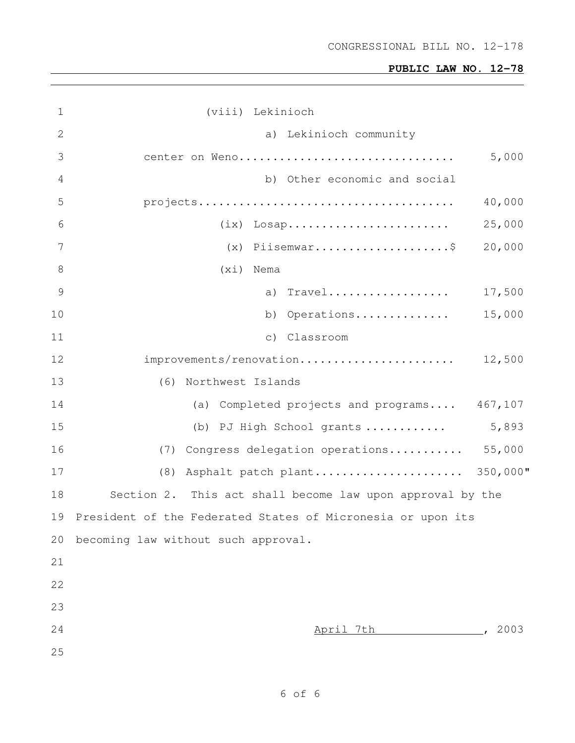| $\mathbf 1$     | (viii) Lekinioch                                            |        |
|-----------------|-------------------------------------------------------------|--------|
| $\mathbf{2}$    | a) Lekinioch community                                      |        |
| 3               | center on Weno                                              | 5,000  |
| 4               | b) Other economic and social                                |        |
| 5               |                                                             | 40,000 |
| 6               | $(ix)$ Losap                                                | 25,000 |
| $7\phantom{.0}$ | $(x)$ Piisemwar\$                                           | 20,000 |
| $\,8\,$         | (xi)<br>Nema                                                |        |
| 9               | a) Travel                                                   | 17,500 |
| 10              | Operations<br>b)                                            | 15,000 |
| 11              | $\circ$ )<br>Classroom                                      |        |
| 12              | improvements/renovation                                     | 12,500 |
| 13              | (6) Northwest Islands                                       |        |
| 14              | (a) Completed projects and programs 467,107                 |        |
| 15              | (b) PJ High School grants                                   | 5,893  |
| 16              | (7) Congress delegation operations                          | 55,000 |
| 17              | Asphalt patch plant 350,000"<br>(8)                         |        |
| 18              | Section 2. This act shall become law upon approval by the   |        |
| 19              | President of the Federated States of Micronesia or upon its |        |
| 20              | becoming law without such approval.                         |        |
| 21              |                                                             |        |
| 22              |                                                             |        |
| 23              |                                                             |        |
| 24              | April 7th                                                   | 2003   |
| 25              |                                                             |        |